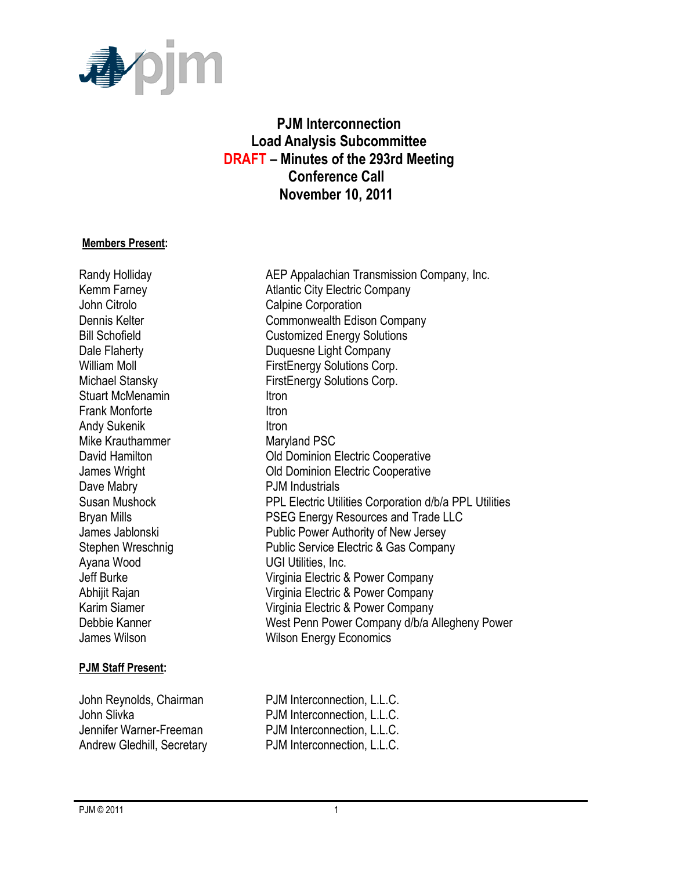

# **PJM Interconnection Load Analysis Subcommittee DRAFT – Minutes of the 293rd Meeting Conference Call November 10, 2011**

#### **Members Present:**

John Citrolo **Calpine Corporation** Stuart McMenamin **Itron** Frank Monforte **Itron** Andy Sukenik **Itron** Mike Krauthammer Maryland PSC Dave Mabry **PJM** Industrials Ayana Wood **UGI Utilities**, Inc.

#### **PJM Staff Present:**

Randy Holliday **AEP Appalachian Transmission Company, Inc.** Kemm Farney **Atlantic City Electric Company** Dennis Kelter **Commonwealth Edison Company** Bill Schofield Customized Energy Solutions Dale Flaherty **Duquesne Light Company** William Moll **William Moll FirstEnergy Solutions Corp.** Michael Stansky FirstEnergy Solutions Corp. David Hamilton **David Hamilton** Old Dominion Electric Cooperative James Wright Old Dominion Electric Cooperative Susan Mushock PPL Electric Utilities Corporation d/b/a PPL Utilities Bryan Mills **PSEG Energy Resources and Trade LLC** James Jablonski Public Power Authority of New Jersey Stephen Wreschnig **Public Service Electric & Gas Company** Jeff Burke Virginia Electric & Power Company Abhijit Rajan Virginia Electric & Power Company Karim Siamer Virginia Electric & Power Company Debbie Kanner West Penn Power Company d/b/a Allegheny Power James Wilson **Millipson Community** Wilson Energy Economics

John Reynolds, Chairman PJM Interconnection, L.L.C. John Slivka **PJM** Interconnection, L.L.C. Jennifer Warner-Freeman PJM Interconnection, L.L.C. Andrew Gledhill, Secretary **PJM** Interconnection, L.L.C.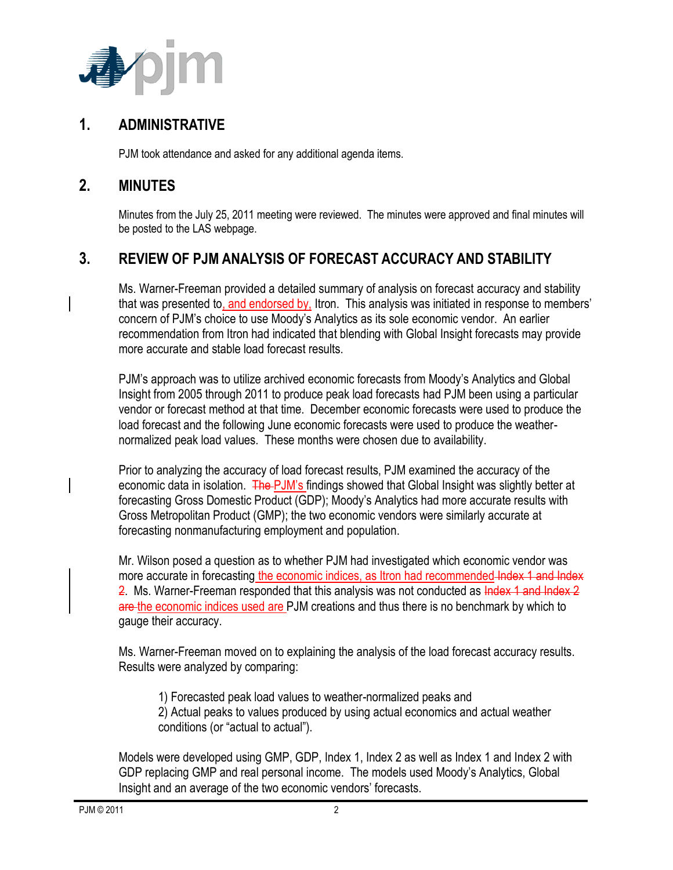

### **1. ADMINISTRATIVE**

PJM took attendance and asked for any additional agenda items.

### **2. MINUTES**

Minutes from the July 25, 2011 meeting were reviewed. The minutes were approved and final minutes will be posted to the LAS webpage.

# **3. REVIEW OF PJM ANALYSIS OF FORECAST ACCURACY AND STABILITY**

Ms. Warner-Freeman provided a detailed summary of analysis on forecast accuracy and stability that was presented to, and endorsed by, Itron. This analysis was initiated in response to members' concern of PJM's choice to use Moody's Analytics as its sole economic vendor. An earlier recommendation from Itron had indicated that blending with Global Insight forecasts may provide more accurate and stable load forecast results.

PJM's approach was to utilize archived economic forecasts from Moody's Analytics and Global Insight from 2005 through 2011 to produce peak load forecasts had PJM been using a particular vendor or forecast method at that time. December economic forecasts were used to produce the load forecast and the following June economic forecasts were used to produce the weathernormalized peak load values. These months were chosen due to availability.

Prior to analyzing the accuracy of load forecast results, PJM examined the accuracy of the economic data in isolation. The PJM's findings showed that Global Insight was slightly better at forecasting Gross Domestic Product (GDP); Moody's Analytics had more accurate results with Gross Metropolitan Product (GMP); the two economic vendors were similarly accurate at forecasting nonmanufacturing employment and population.

Mr. Wilson posed a question as to whether PJM had investigated which economic vendor was more accurate in forecasting the economic indices, as Itron had recommended Index 1 and Index 2. Ms. Warner-Freeman responded that this analysis was not conducted as Index 1 and Index 2 are the economic indices used are PJM creations and thus there is no benchmark by which to gauge their accuracy.

Ms. Warner-Freeman moved on to explaining the analysis of the load forecast accuracy results. Results were analyzed by comparing:

1) Forecasted peak load values to weather-normalized peaks and 2) Actual peaks to values produced by using actual economics and actual weather conditions (or "actual to actual").

Models were developed using GMP, GDP, Index 1, Index 2 as well as Index 1 and Index 2 with GDP replacing GMP and real personal income. The models used Moody's Analytics, Global Insight and an average of the two economic vendors' forecasts.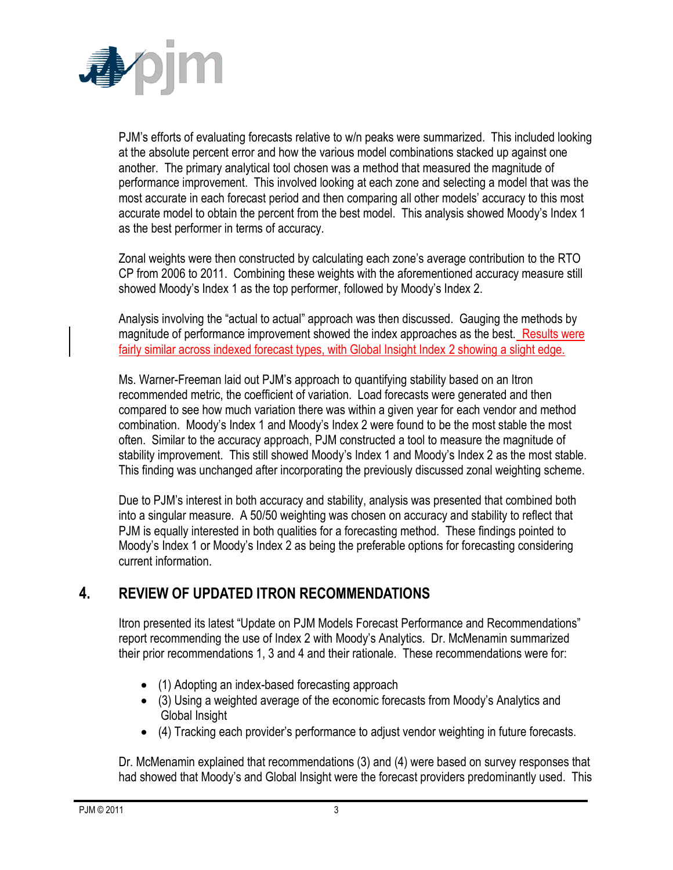

PJM's efforts of evaluating forecasts relative to w/n peaks were summarized. This included looking at the absolute percent error and how the various model combinations stacked up against one another. The primary analytical tool chosen was a method that measured the magnitude of performance improvement. This involved looking at each zone and selecting a model that was the most accurate in each forecast period and then comparing all other models' accuracy to this most accurate model to obtain the percent from the best model. This analysis showed Moody's Index 1 as the best performer in terms of accuracy.

Zonal weights were then constructed by calculating each zone's average contribution to the RTO CP from 2006 to 2011. Combining these weights with the aforementioned accuracy measure still showed Moody's Index 1 as the top performer, followed by Moody's Index 2.

Analysis involving the "actual to actual" approach was then discussed. Gauging the methods by magnitude of performance improvement showed the index approaches as the best. Results were fairly similar across indexed forecast types, with Global Insight Index 2 showing a slight edge.

Ms. Warner-Freeman laid out PJM's approach to quantifying stability based on an Itron recommended metric, the coefficient of variation. Load forecasts were generated and then compared to see how much variation there was within a given year for each vendor and method combination. Moody's Index 1 and Moody's Index 2 were found to be the most stable the most often. Similar to the accuracy approach, PJM constructed a tool to measure the magnitude of stability improvement. This still showed Moody's Index 1 and Moody's Index 2 as the most stable. This finding was unchanged after incorporating the previously discussed zonal weighting scheme.

Due to PJM's interest in both accuracy and stability, analysis was presented that combined both into a singular measure. A 50/50 weighting was chosen on accuracy and stability to reflect that PJM is equally interested in both qualities for a forecasting method. These findings pointed to Moody's Index 1 or Moody's Index 2 as being the preferable options for forecasting considering current information.

# **4. REVIEW OF UPDATED ITRON RECOMMENDATIONS**

Itron presented its latest "Update on PJM Models Forecast Performance and Recommendations" report recommending the use of Index 2 with Moody's Analytics. Dr. McMenamin summarized their prior recommendations 1, 3 and 4 and their rationale. These recommendations were for:

- (1) Adopting an index-based forecasting approach
- (3) Using a weighted average of the economic forecasts from Moody's Analytics and Global Insight
- (4) Tracking each provider's performance to adjust vendor weighting in future forecasts.

Dr. McMenamin explained that recommendations (3) and (4) were based on survey responses that had showed that Moody's and Global Insight were the forecast providers predominantly used. This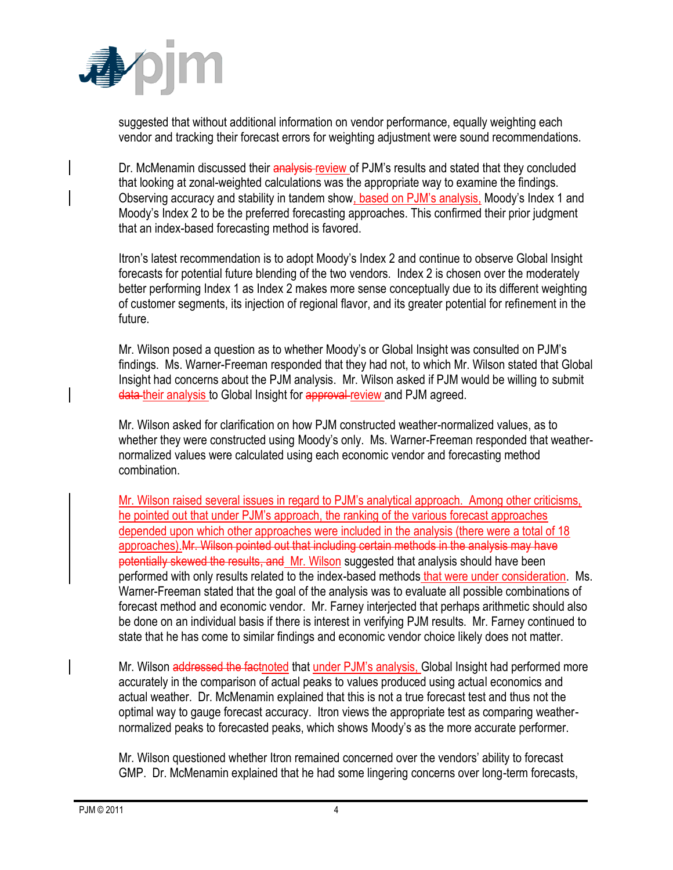

suggested that without additional information on vendor performance, equally weighting each vendor and tracking their forecast errors for weighting adjustment were sound recommendations.

Dr. McMenamin discussed their analysis review of PJM's results and stated that they concluded that looking at zonal-weighted calculations was the appropriate way to examine the findings. Observing accuracy and stability in tandem show, based on PJM's analysis, Moody's Index 1 and Moody's Index 2 to be the preferred forecasting approaches. This confirmed their prior judgment that an index-based forecasting method is favored.

Itron's latest recommendation is to adopt Moody's Index 2 and continue to observe Global Insight forecasts for potential future blending of the two vendors. Index 2 is chosen over the moderately better performing Index 1 as Index 2 makes more sense conceptually due to its different weighting of customer segments, its injection of regional flavor, and its greater potential for refinement in the future.

Mr. Wilson posed a question as to whether Moody's or Global Insight was consulted on PJM's findings. Ms. Warner-Freeman responded that they had not, to which Mr. Wilson stated that Global Insight had concerns about the PJM analysis. Mr. Wilson asked if PJM would be willing to submit data their analysis to Global Insight for approval review and PJM agreed.

Mr. Wilson asked for clarification on how PJM constructed weather-normalized values, as to whether they were constructed using Moody's only. Ms. Warner-Freeman responded that weathernormalized values were calculated using each economic vendor and forecasting method combination.

Mr. Wilson raised several issues in regard to PJM's analytical approach. Among other criticisms, he pointed out that under PJM's approach, the ranking of the various forecast approaches depended upon which other approaches were included in the analysis (there were a total of 18 approaches).Mr. Wilson pointed out that including certain methods in the analysis may have potentially skewed the results, and Mr. Wilson suggested that analysis should have been performed with only results related to the index-based methods that were under consideration. Ms. Warner-Freeman stated that the goal of the analysis was to evaluate all possible combinations of forecast method and economic vendor. Mr. Farney interjected that perhaps arithmetic should also be done on an individual basis if there is interest in verifying PJM results. Mr. Farney continued to state that he has come to similar findings and economic vendor choice likely does not matter.

Mr. Wilson addressed the factnoted that under PJM's analysis, Global Insight had performed more accurately in the comparison of actual peaks to values produced using actual economics and actual weather. Dr. McMenamin explained that this is not a true forecast test and thus not the optimal way to gauge forecast accuracy. Itron views the appropriate test as comparing weathernormalized peaks to forecasted peaks, which shows Moody's as the more accurate performer.

Mr. Wilson questioned whether Itron remained concerned over the vendors' ability to forecast GMP. Dr. McMenamin explained that he had some lingering concerns over long-term forecasts,